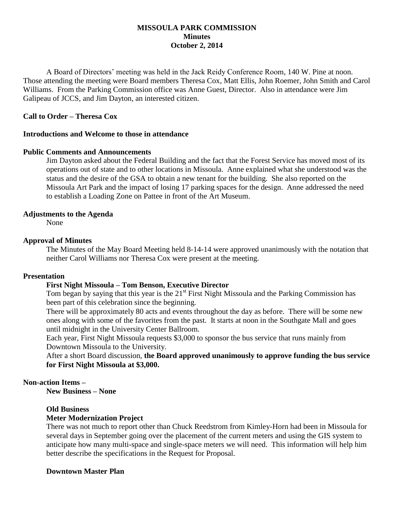## **MISSOULA PARK COMMISSION Minutes October 2, 2014**

A Board of Directors' meeting was held in the Jack Reidy Conference Room, 140 W. Pine at noon. Those attending the meeting were Board members Theresa Cox, Matt Ellis, John Roemer, John Smith and Carol Williams. From the Parking Commission office was Anne Guest, Director. Also in attendance were Jim Galipeau of JCCS, and Jim Dayton, an interested citizen.

## **Call to Order – Theresa Cox**

### **Introductions and Welcome to those in attendance**

#### **Public Comments and Announcements**

Jim Dayton asked about the Federal Building and the fact that the Forest Service has moved most of its operations out of state and to other locations in Missoula. Anne explained what she understood was the status and the desire of the GSA to obtain a new tenant for the building. She also reported on the Missoula Art Park and the impact of losing 17 parking spaces for the design. Anne addressed the need to establish a Loading Zone on Pattee in front of the Art Museum.

#### **Adjustments to the Agenda**

None

#### **Approval of Minutes**

The Minutes of the May Board Meeting held 8-14-14 were approved unanimously with the notation that neither Carol Williams nor Theresa Cox were present at the meeting.

### **Presentation**

#### **First Night Missoula – Tom Benson, Executive Director**

Tom began by saying that this year is the  $21<sup>st</sup>$  First Night Missoula and the Parking Commission has been part of this celebration since the beginning.

There will be approximately 80 acts and events throughout the day as before. There will be some new ones along with some of the favorites from the past. It starts at noon in the Southgate Mall and goes until midnight in the University Center Ballroom.

Each year, First Night Missoula requests \$3,000 to sponsor the bus service that runs mainly from Downtown Missoula to the University.

After a short Board discussion, **the Board approved unanimously to approve funding the bus service for First Night Missoula at \$3,000.**

## **Non-action Items –**

**New Business – None**

#### **Old Business**

#### **Meter Modernization Project**

There was not much to report other than Chuck Reedstrom from Kimley-Horn had been in Missoula for several days in September going over the placement of the current meters and using the GIS system to anticipate how many multi-space and single-space meters we will need. This information will help him better describe the specifications in the Request for Proposal.

### **Downtown Master Plan**